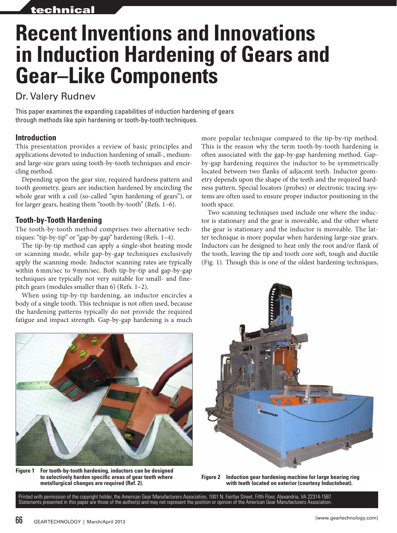# **Recent Inventions and Innovations in Induction Hardening of Gears and Gear–Like Components**

# Dr. Valery Rudnev

This paper examines the expanding capabilities of induction hardening of gears through methods like spin hardening or tooth-by-tooth techniques.

## **Introduction**

This presentation provides a review of basic principles and applications devoted to induction hardening of small-, mediumand large-size gears using tooth-by-tooth techniques and encircling method.

Depending upon the gear size, required hardness pattern and tooth geometry, gears are induction hardened by encircling the whole gear with a coil (so-called "spin hardening of gears"), or for larger gears, heating them "tooth-by-tooth" (Refs. 1–6).

### **Tooth-by-Tooth Hardening**

The tooth-by-tooth method comprises two alternative techniques: "tip-by-tip" or "gap-by-gap" hardening (Refs. 1–4).

The tip-by-tip method can apply a single-shot heating mode or scanning mode, while gap-by-gap techniques exclusively apply the scanning mode. Inductor scanning rates are typically within 6mm/sec to 9mm/sec. Both tip-by-tip and gap-by-gap techniques are typically not very suitable for small- and finepitch gears (modules smaller than 6) (Refs. 1–2).

body of a single tooth. This technique is not often used, because the hardening patterns typically do not provide the required fatigue and impact strength. Gap-by-gap hardening is a much

When using tip-by-tip hardening, an inductor encircles a

**Figure 1 For tooth-by-tooth hardening, inductors can be designed to selectively harden specific areas of gear teeth where metallurgical changes are required (Ref. 2).**

more popular technique compared to the tip-by-tip method. This is the reason why the term tooth-by-tooth hardening is often associated with the gap-by-gap hardening method. Gapby-gap hardening requires the inductor to be symmetrically located between two flanks of adjacent teeth. Inductor geometry depends upon the shape of the teeth and the required hardness pattern. Special locators (probes) or electronic tracing systems are often used to ensure proper inductor positioning in the tooth space.

Two scanning techniques used include one where the inductor is stationary and the gear is moveable, and the other where the gear is stationary and the inductor is moveable. The latter technique is more popular when hardening large-size gears. Inductors can be designed to heat only the root and/or flank of the tooth, leaving the tip and tooth core soft, tough and ductile (Fig. 1). Though this is one of the oldest hardening techniques,



**Figure 2 Induction gear hardening machine for large bearing ring with teeth located on exterior (courtesy Inductoheat).**

Printed with permission of the copyright holder, the American Gear Manufacturers Association, 1001 N. Fairfax Street, Fifth Floor, Alexandria, VA 22314-1587. Statements presented in this paper are those of the author(s) and may not represent the position or opinion of the American Gear Manufacturers Association.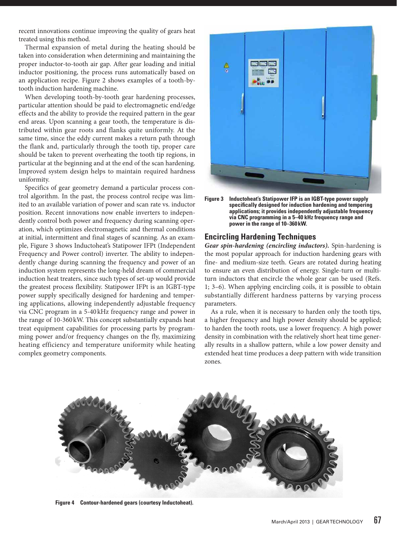recent innovations continue improving the quality of gears heat treated using this method.

Thermal expansion of metal during the heating should be taken into consideration when determining and maintaining the proper inductor-to-tooth air gap. After gear loading and initial inductor positioning, the process runs automatically based on an application recipe. Figure 2 shows examples of a tooth-bytooth induction hardening machine.

When developing tooth-by-tooth gear hardening processes, particular attention should be paid to electromagnetic end/edge effects and the ability to provide the required pattern in the gear end areas. Upon scanning a gear tooth, the temperature is distributed within gear roots and flanks quite uniformly. At the same time, since the eddy current makes a return path through the flank and, particularly through the tooth tip, proper care should be taken to prevent overheating the tooth tip regions, in particular at the beginning and at the end of the scan hardening. Improved system design helps to maintain required hardness uniformity.

Specifics of gear geometry demand a particular process control algorithm. In the past, the process control recipe was limited to an available variation of power and scan rate vs. inductor position. Recent innovations now enable inverters to independently control both power and frequency during scanning operation, which optimizes electromagnetic and thermal conditions at initial, intermittent and final stages of scanning. As an example, Figure 3 shows Inductoheat's Statipower IFPt (Independent Frequency and Power control) inverter. The ability to independently change during scanning the frequency and power of an induction system represents the long-held dream of commercial induction heat treaters, since such types of set-up would provide the greatest process flexibility. Statipower IFPt is an IGBT-type power supply specifically designed for hardening and tempering applications, allowing independently adjustable frequency via CNC program in a 5-40 kHz frequency range and power in the range of 10-360kW. This concept substantially expands heat treat equipment capabilities for processing parts by programming power and/or frequency changes on the fly, maximizing heating efficiency and temperature uniformity while heating complex geometry components.



**Figure 3 Inductoheat's Statipower IFP is an IGBT-type power supply specifically designed for induction hardening and tempering applications; it provides independently adjustable frequency via CNC programming in a 5–40 kHz frequency range and power in the range of 10–360kW.**

#### **Encircling Hardening Techniques**

*Gear spin-hardening (encircling inductors).* Spin-hardening is the most popular approach for induction hardening gears with fine- and medium-size teeth. Gears are rotated during heating to ensure an even distribution of energy. Single-turn or multiturn inductors that encircle the whole gear can be used (Refs. 1; 3–6). When applying encircling coils, it is possible to obtain substantially different hardness patterns by varying process parameters.

As a rule, when it is necessary to harden only the tooth tips, a higher frequency and high power density should be applied; to harden the tooth roots, use a lower frequency. A high power density in combination with the relatively short heat time generally results in a shallow pattern, while a low power density and extended heat time produces a deep pattern with wide transition zones.



**Figure 4 Contour-hardened gears (courtesy Inductoheat).**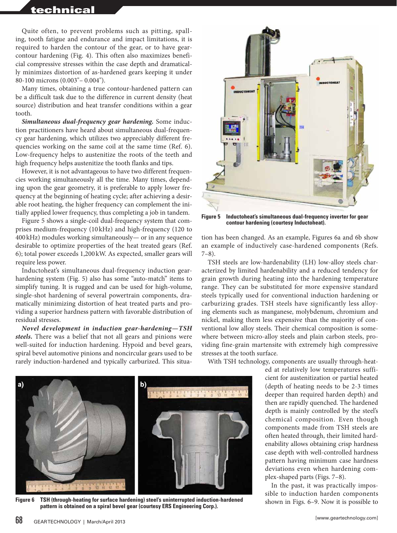## technical

Quite often, to prevent problems such as pitting, spalling, tooth fatigue and endurance and impact limitations, it is required to harden the contour of the gear, or to have gearcontour hardening (Fig. 4). This often also maximizes beneficial compressive stresses within the case depth and dramatically minimizes distortion of as-hardened gears keeping it under 80-100 microns (0.003"– 0.004").

Many times, obtaining a true contour-hardened pattern can be a difficult task due to the difference in current density (heat source) distribution and heat transfer conditions within a gear tooth.

*Simultaneous dual-frequency gear hardening.* Some induction practitioners have heard about simultaneous dual-frequency gear hardening, which utilizes two appreciably different frequencies working on the same coil at the same time (Ref. 6). Low-frequency helps to austenitize the roots of the teeth and high frequency helps austenitize the tooth flanks and tips.

However, it is not advantageous to have two different frequencies working simultaneously all the time. Many times, depending upon the gear geometry, it is preferable to apply lower frequency at the beginning of heating cycle; after achieving a desirable root heating, the higher frequency can complement the initially applied lower frequency, thus completing a job in tandem.

Figure 5 shows a single-coil dual-frequency system that comprises medium-frequency (10kHz) and high-frequency (120 to 400kHz) modules working simultaneously— or in any sequence desirable to optimize properties of the heat treated gears (Ref. 6); total power exceeds 1,200kW. As expected, smaller gears will require less power.

Inductoheat's simultaneous dual-frequency induction gearhardening system (Fig. 5) also has some "auto-match" items to simplify tuning. It is rugged and can be used for high-volume, single-shot hardening of several powertrain components, dramatically minimizing distortion of heat treated parts and providing a superior hardness pattern with favorable distribution of residual stresses.

*Novel development in induction gear-hardening—TSH steels.* There was a belief that not all gears and pinions were well-suited for induction hardening. Hypoid and bevel gears, spiral bevel automotive pinions and noncircular gears used to be rarely induction-hardened and typically carburized. This situa-



**Figure 5 Inductoheat's simultaneous dual-frequency inverter for gear contour hardening (courtesy Inductoheat).**

tion has been changed. As an example, Figures 6a and 6b show an example of inductively case-hardened components (Refs. 7–8).

TSH steels are low-hardenability (LH) low-alloy steels characterized by limited hardenability and a reduced tendency for grain growth during heating into the hardening temperature range. They can be substituted for more expensive standard steels typically used for conventional induction hardening or carburizing grades. TSH steels have significantly less alloying elements such as manganese, molybdenum, chromium and nickel, making them less expensive than the majority of conventional low alloy steels. Their chemical composition is somewhere between micro-alloy steels and plain carbon steels, providing fine-grain martensite with extremely high compressive stresses at the tooth surface.

With TSH technology, components are usually through-heat-

ed at relatively low temperatures sufficient for austenitization or partial heated (depth of heating needs to be 2-3 times deeper than required harden depth) and then are rapidly quenched. The hardened depth is mainly controlled by the steel's chemical composition. Even though components made from TSH steels are often heated through, their limited hardenability allows obtaining crisp hardness case depth with well-controlled hardness pattern having minimum case hardness deviations even when hardening complex-shaped parts (Figs. 7–8).

In the past, it was practically impossible to induction harden components shown in Figs. 6–9. Now it is possible to



**Figure 6 TSH (through-heating for surface hardening) steel's uninterrupted induction-hardened pattern is obtained on a spiral bevel gear (courtesy ERS Engineering Corp.).**